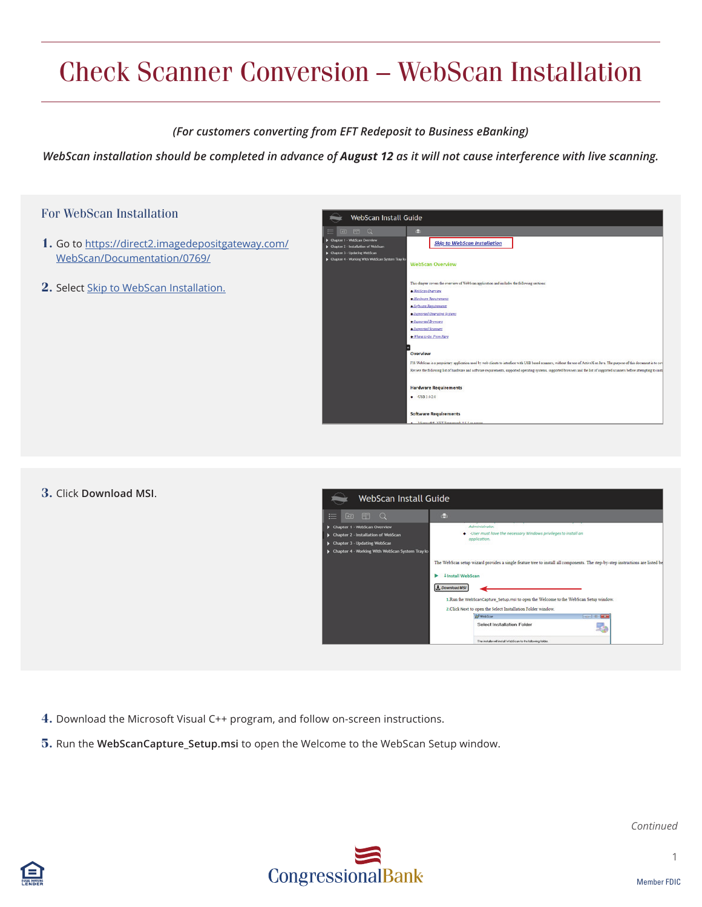# Check Scanner Conversion – WebScan Installation

### *(For customers converting from EFT Redeposit to Business eBanking)*

*WebScan installation should be completed in advance of August 12 as it will not cause interference with live scanning.* 



#### **3.** Click **Download MSI**.



**4.** Download the Microsoft Visual C++ program, and follow on-screen instructions.

**5.** Run the **WebScanCapture\_Setup.msi** to open the Welcome to the WebScan Setup window.



*Continued*

1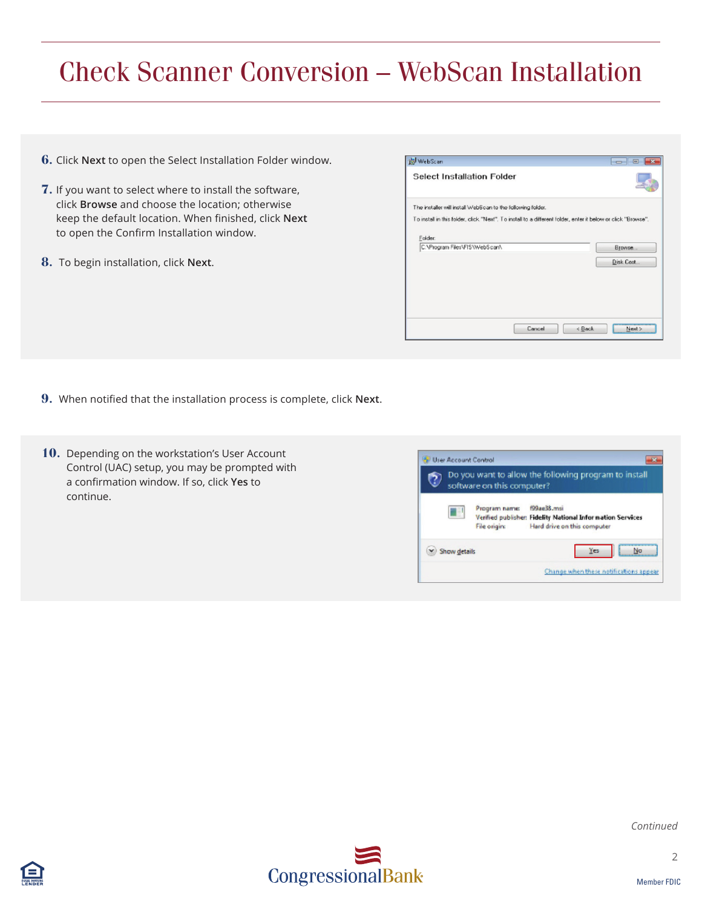## Check Scanner Conversion – WebScan Installation

- **6.** Click **Next** to open the Select Installation Folder window.
- **7.** If you want to select where to install the software, click **Browse** and choose the location; otherwise keep the default location. When finished, click **Next**  to open the Confirm Installation window.
- **8.** To begin installation, click **Next**.

| WebScan                                                     |                                                                                                                |           |
|-------------------------------------------------------------|----------------------------------------------------------------------------------------------------------------|-----------|
| <b>Select Installation Folder</b>                           |                                                                                                                |           |
| The installer will install WebScan to the following folder. |                                                                                                                |           |
|                                                             | To install in this folder, click, "Next". To install to a different folder, enter it below or click, "Browse". |           |
| Folder:                                                     |                                                                                                                |           |
| C:\Program Files\FIS\WebScan\                               |                                                                                                                | Browse    |
|                                                             |                                                                                                                | Disk Cost |
|                                                             |                                                                                                                |           |
|                                                             |                                                                                                                |           |
|                                                             |                                                                                                                |           |
|                                                             |                                                                                                                |           |
|                                                             |                                                                                                                |           |

- **9.** When notified that the installation process is complete, click **Next**.
- **10.** Depending on the workstation's User Account Control (UAC) setup, you may be prompted with a confirmation window. If so, click **Yes** to continue.

| Do you want to allow the following program to install<br>software on this computer? |                               |                                                                                                          |  |  |
|-------------------------------------------------------------------------------------|-------------------------------|----------------------------------------------------------------------------------------------------------|--|--|
| U                                                                                   | Program name:<br>File origin: | f99ae38.msi<br>Verified publisher: Fidelity National Information Services<br>Hard drive on this computer |  |  |
| Show details                                                                        |                               | Yes<br>No                                                                                                |  |  |





2